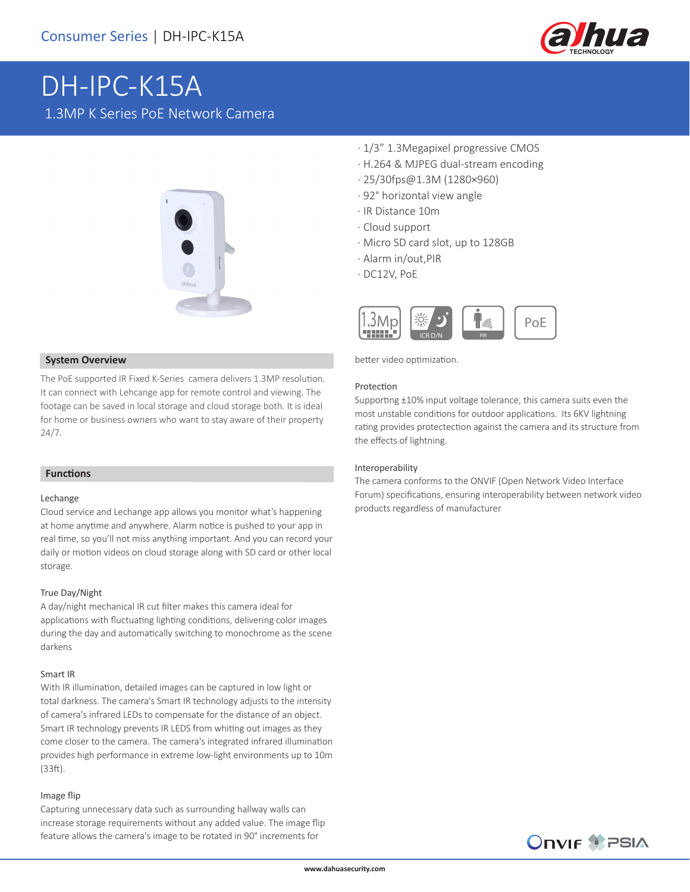

# DH-IPC-K15A 1.3MP K Series PoE Network Camera



#### **System Overview**

The PoE supported IR Fixed K-Series camera delivers 1.3MP resolution. It can connect with Lehcange app for remote control and viewing. The footage can be saved in local storage and cloud storage both. It is ideal for home or business owners who want to stay aware of their property 24/7.

#### **Functions**

#### Lechange

Cloud service and Lechange app allows you monitor what's happening at home anytime and anywhere. Alarm notice is pushed to your app in real time, so you'll not miss anything important. And you can record your daily or motion videos on cloud storage along with SD card or other local storage.

#### True Day/Night

A day/night mechanical IR cut filter makes this camera ideal for applications with fluctuating lighting conditions, delivering color images during the day and automatically switching to monochrome as the scene darkens

#### Smart IR

With IR illumination, detailed images can be captured in low light or total darkness. The camera's Smart IR technology adjusts to the intensity of camera's infrared LEDs to compensate for the distance of an object. Smart IR technology prevents IR LEDS from whiting out images as they come closer to the camera. The camera's integrated infrared illumination provides high performance in extreme low-light environments up to 10m (33ft).

#### Image flip

Capturing unnecessary data such as surrounding hallway walls can increase storage requirements without any added value. The image flip feature allows the camera's image to be rotated in 90° increments for

- · 1/3" 1.3Megapixel progressive CMOS
- · H.264 & MJPEG dual-stream encoding
- · 25/30fps@1.3M (1280×960)
- · 92° horizontal view angle
- · IR Distance 10m
- · Cloud support
- · Micro SD card slot, up to 128GB
- · Alarm in/out,PIR
- · DC12V, PoE



better video optimization.

#### Protection

Supporting ±10% input voltage tolerance, this camera suits even the most unstable conditions for outdoor applications. Its 6KV lightning rating provides protectection against the camera and its structure from the effects of lightning.

#### Interoperability

The camera conforms to the ONVIF (Open Network Video Interface Forum) specifications, ensuring interoperability between network video products regardless of manufacturer

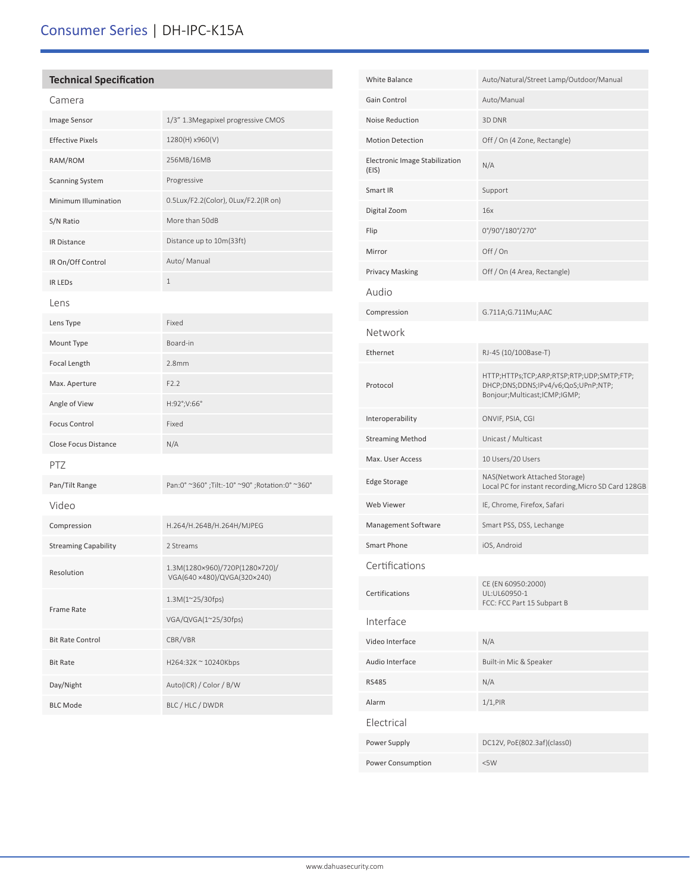## **Technical Specification**

| Camera                      |                                                               |  |
|-----------------------------|---------------------------------------------------------------|--|
| Image Sensor                | 1/3" 1.3Megapixel progressive CMOS                            |  |
| <b>Effective Pixels</b>     | 1280(H) x960(V)                                               |  |
| RAM/ROM                     | 256MB/16MB                                                    |  |
| <b>Scanning System</b>      | Progressive                                                   |  |
| Minimum Illumination        | 0.5Lux/F2.2(Color), 0Lux/F2.2(IR on)                          |  |
| S/N Ratio                   | More than 50dB                                                |  |
| IR Distance                 | Distance up to 10m(33ft)                                      |  |
| IR On/Off Control           | Auto/ Manual                                                  |  |
| <b>IR LEDS</b>              | $\mathbf 1$                                                   |  |
| Lens                        |                                                               |  |
| Lens Type                   | Fixed                                                         |  |
| Mount Type                  | Board-in                                                      |  |
| Focal Length                | 2.8 <sub>mm</sub>                                             |  |
| Max. Aperture               | F2.2                                                          |  |
| Angle of View               | H:92°;V:66°                                                   |  |
| <b>Focus Control</b>        | Fixed                                                         |  |
| <b>Close Focus Distance</b> | N/A                                                           |  |
| PTZ                         |                                                               |  |
| Pan/Tilt Range              | Pan:0° ~360°; Tilt:-10° ~90°; Rotation:0° ~360°               |  |
| Video                       |                                                               |  |
| Compression                 | H.264/H.264B/H.264H/MJPEG                                     |  |
| <b>Streaming Capability</b> | 2 Streams                                                     |  |
| Resolution                  | 1.3M(1280×960)/720P(1280×720)/<br>VGA(640 ×480)/QVGA(320×240) |  |
| Frame Rate                  | 1.3M(1~25/30fps)                                              |  |
|                             | VGA/QVGA(1~25/30fps)                                          |  |
| <b>Bit Rate Control</b>     | CBR/VBR                                                       |  |
| <b>Bit Rate</b>             | H264:32K ~ 10240Kbps                                          |  |
| Day/Night                   | Auto(ICR) / Color / B/W                                       |  |
| <b>BLC Mode</b>             | BLC / HLC / DWDR                                              |  |

| White Balance                           | Auto/Natural/Street Lamp/Outdoor/Manual                                                                             |
|-----------------------------------------|---------------------------------------------------------------------------------------------------------------------|
| Gain Control                            | Auto/Manual                                                                                                         |
| Noise Reduction                         | 3D DNR                                                                                                              |
| <b>Motion Detection</b>                 | Off / On (4 Zone, Rectangle)                                                                                        |
| Electronic Image Stabilization<br>(EIS) | N/A                                                                                                                 |
| Smart IR                                | Support                                                                                                             |
| Digital Zoom                            | 16x                                                                                                                 |
| Flip                                    | 0°/90°/180°/270°                                                                                                    |
| Mirror                                  | Off/On                                                                                                              |
| <b>Privacy Masking</b>                  | Off / On (4 Area, Rectangle)                                                                                        |
| Audio                                   |                                                                                                                     |
| Compression                             | G.711A;G.711Mu;AAC                                                                                                  |
| Network                                 |                                                                                                                     |
| Ethernet                                | RJ-45 (10/100Base-T)                                                                                                |
| Protocol                                | HTTP;HTTPs;TCP;ARP;RTSP;RTP;UDP;SMTP;FTP;<br>DHCP;DNS;DDNS;IPv4/v6;QoS;UPnP;NTP;<br>Bonjour; Multicast; ICMP; IGMP; |
| Interoperability                        | ONVIF, PSIA, CGI                                                                                                    |
| <b>Streaming Method</b>                 | Unicast / Multicast                                                                                                 |
| Max. User Access                        | 10 Users/20 Users                                                                                                   |
| Edge Storage                            | NAS(Network Attached Storage)<br>Local PC for instant recording, Micro SD Card 128GB                                |
| Web Viewer                              | IE, Chrome, Firefox, Safari                                                                                         |
| Management Software                     | Smart PSS, DSS, Lechange                                                                                            |
| <b>Smart Phone</b>                      | iOS, Android                                                                                                        |
| Certifications                          |                                                                                                                     |
| Certifications                          | CE (EN 60950:2000)<br>UL:UL60950-1<br>FCC: FCC Part 15 Subpart B                                                    |
| Interface                               |                                                                                                                     |
| Video Interface                         | N/A                                                                                                                 |
| Audio Interface                         | Built-in Mic & Speaker                                                                                              |
| <b>RS485</b>                            | N/A                                                                                                                 |
| Alarm                                   | $1/1,$ PIR                                                                                                          |
| Electrical                              |                                                                                                                     |
| Power Supply                            | DC12V, PoE(802.3af)(class0)                                                                                         |
| Power Consumption                       | <5W                                                                                                                 |